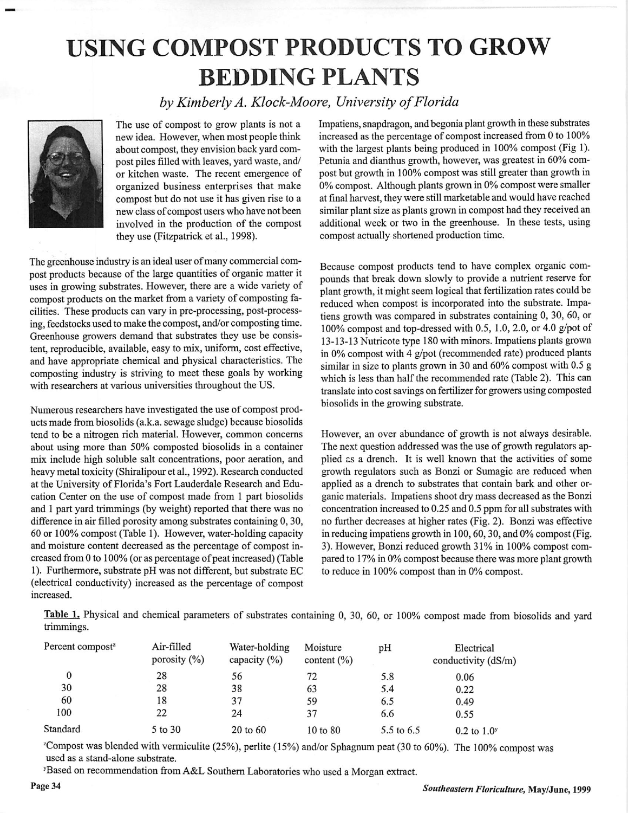## *USING COMPOST PRODUCTS TO GROW BEDDING PLANTS*

**byKimberly A. Klock-Moore, University ofFlorida**



The use of compost to grow plants is not a new idea. However, when most people think about compost, they envision back yard com post piles filled with leaves, yard waste, and/ or kitchen waste. The recent emergence of organized business enterprises that make compost but do not use it has given rise to a new class of compost users who have not been involved in the production of the compost they use (Fitzpatrick et al., 1998).

The greenhouse industry is an ideal user of many commercial compost products because of the large quantities of organic matter it uses in growing substrates. However, there are a wide variety of compost products on the market from a variety of composting facilities. These products can vary in pre-processing, post-processing, feedstocks used to make the compost, and/or composting time. Greenhouse growers demand that substrates they use be consis tent, reproducible, available, easy to mix, uniform, cost effective, and have appropriate chemical and physical characteristics. The composting industry is striving to meet these goals by working with researchers at various universities throughout the US.

Numerous researchers have investigated the use of compost prod ucts made from biosolids (a.k.a. sewage sludge) because biosolids tend to be a nitrogen rich material. However, common concerns about using more than 50% composted biosolids in a container mix include high soluble salt concentrations, poor aeration, and heavy metal toxicity (Shiralipour et al., 1992). Research conducted at the University of Florida's Fort Lauderdale Research and Edu cation Center on the use of compost made from 1 part biosolids and 1 part yard trimmings (by weight) reported that there was no difference in air filled porosity among substrates containing 0, 30, 60 or 100% compost (Table 1). However, water-holding capacity and moisture content decreased as the percentage of compost in creased from 0 to  $100\%$  (or as percentage of peat increased) (Table 1). Furthermore, substrate pH was not different, but substrate EC (electrical conductivity) increased as the percentage of compost increased.

Impatiens, snapdragon, and begonia plant growth in these substrates increased as the percentage of compost increased from 0 to 100% with the largest plants being produced in 100% compost (Fig 1). Petunia and dianthus growth, however, was greatest in 60% com post but growth in 100% compost was still greater than growth in  $0\%$  compost. Although plants grown in 0% compost were smaller at final harvest, they were still marketable and would have reached similar plant size as plants grown in compost had they received an additional week or two in the greenhouse. In these tests, using compost actually shortened production time.

Because compost products tend to have complex organic com pounds that break down slowly to provide a nutrient reserve for plant growth, it might seem logical that fertilization rates could be reduced when compost is incorporated into the substrate. Impa tiens growth was compared in substrates containing 0, 30, 60, or 100% compost and top-dressed with 0.5, 1.0, 2.0, or 4.0 g/pot of 13-13-13Nutricote type 180 with minors. Impatiens plants grown in  $0\%$  compost with 4 g/pot (recommended rate) produced plants similar in size to plants grown in 30 and 60% compost with 0.5 g which is less than half the recommended rate (Table 2). This can translate into cost savings on fertilizer for growers using composted biosolids in the growing substrate.

However, an over abundance of growth is not always desirable. The next question addressed was the use of growth regulators ap plied cs a drench. It is well known that the activities of some growth regulators such as Bonzi or Sumagic are reduced when applied as a drench to substrates that contain bark and other or ganic materials. Impatiens shoot dry mass decreased as the Bonzi concentration increased to 0.25 and 0.5 ppm for all substrates with no further decreases at higher rates (Fig. 2). Bonzi was effective in reducing impatiens growth in 100,60,30, and 0% compost (Fig. 3). However, Bonzi reduced growth 31% in 100% compost com pared to 17% in 0% compost because there was more plant growth to reduce in 100% compost than in 0% compost.

Table 1. Physical and chemical parameters of substrates containing 0, 30, 60, or 100% compost made from biosolids and yard trimmings.

| Percent compost <sup>z</sup> | Air-filled<br>porosity $(\%)$ | Water-holding<br>capacity $(\% )$ | Moisture<br>content $(\% )$ | pH         | Electrical<br>conductivity (dS/m) |
|------------------------------|-------------------------------|-----------------------------------|-----------------------------|------------|-----------------------------------|
|                              | 28                            | 56                                | 72                          | 5.8        | 0.06                              |
| 30                           | 28                            | 38                                | 63                          | 5.4        | 0.22                              |
| 60                           | 18                            | 37                                | 59                          | 6.5        | 0.49                              |
| 100                          | 22                            | 24                                | 37                          | 6.6        | 0.55                              |
| Standard                     | 5 to 30                       | 20 to 60                          | 10 to 80                    | 5.5 to 6.5 | $0.2$ to $1.0^{\rm y}$            |

 $Z^2$ Compost was blended with vermiculite (25%), perlite (15%) and/or Sphagnum peat (30 to 60%). The 100% compost was used as a stand-alone substrate.

<sup>y</sup>Based on recommendation from A&L Southern Laboratories who used a Morgan extract.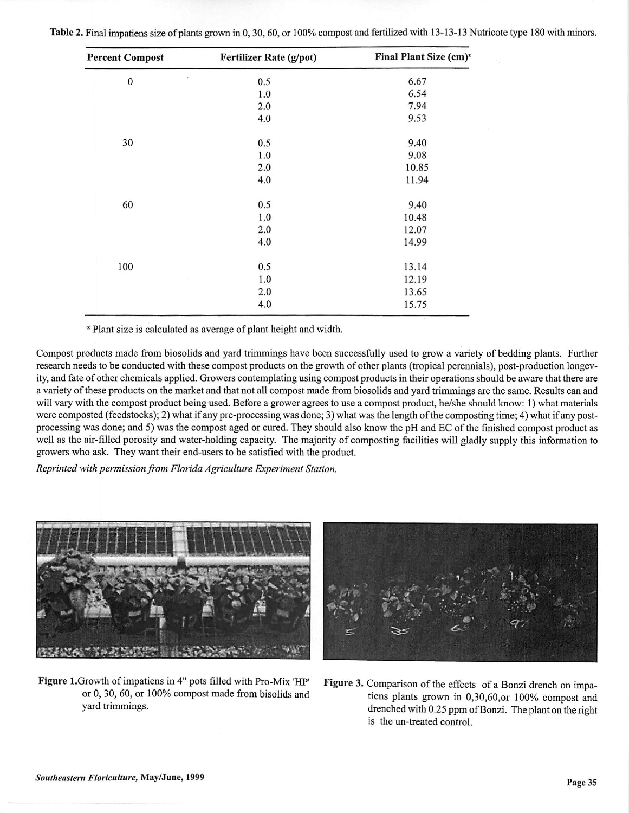|  |  |  |  |  |  | Table 2. Final impatiens size of plants grown in 0, 30, 60, or 100% compost and fertilized with 13-13-13 Nutricote type 180 with minors. |  |
|--|--|--|--|--|--|------------------------------------------------------------------------------------------------------------------------------------------|--|
|--|--|--|--|--|--|------------------------------------------------------------------------------------------------------------------------------------------|--|

| <b>Percent Compost</b> | <b>Fertilizer Rate (g/pot)</b> | Final Plant Size (cm) <sup>z</sup> |
|------------------------|--------------------------------|------------------------------------|
| $\bf{0}$               | 0.5                            | 6.67                               |
|                        | 1.0                            | 6.54                               |
|                        | 2.0                            | 7.94                               |
|                        | 4.0                            | 9.53                               |
| 30                     | 0.5                            | 9.40                               |
|                        | 1.0                            | 9.08                               |
|                        | 2.0                            | 10.85                              |
|                        | 4.0                            | 11.94                              |
| 60                     | 0.5                            | 9.40                               |
|                        | 1.0                            | 10.48                              |
|                        | 2.0                            | 12.07                              |
|                        | 4.0                            | 14.99                              |
| 100                    | 0.5                            | 13.14                              |
|                        | 1.0                            | 12.19                              |
|                        | 2.0                            | 13.65                              |
|                        | 4.0                            | 15.75                              |

<sup>z</sup> Plant size is calculated as average of plant height and width.

Compost products made from biosolids and yard trimmings have been successfully used to grow a variety of bedding plants. Further research needs to be conducted with these compost products on the growth of other plants (tropical perennials), post-production longev ity, and fate ofother chemicals applied. Growers contemplating using compost products in their operations should be aware that there are a variety ofthese products on the market and that not all compost made from biosolids and yard trimmings are the same. Results can and will vary with the compost product being used. Before a grower agrees to use a compost product, he/she should know: 1) what materials were composted (feedstocks); 2) what if any pre-processing was done; 3) what was the length of the composting time; 4) what if any postprocessing was done; and 5) was the compost aged or cured. They should also know the pH and EC of the finished compost product as well as the air-filled porosity and water-holding capacity. The majority of composting facilities will gladly supply this information to growers who ask. They want their end-users to be satisfied with the product.

**Reprinted** with permission from Florida Agriculture Experiment Station.



Figure 1.Growth of impatiens in 4" pots filled with Pro-Mix 'HP' or 0, 30, 60, or 100%) compost made from bisolids and yard trimmings.



Figure 3. Comparison of the effects of a Bonzi drench on impatiens plants grown in 0,30,60,or 100% compost and drenched with 0.25 ppm of Bonzi. The plant on the right is the un-treated control.